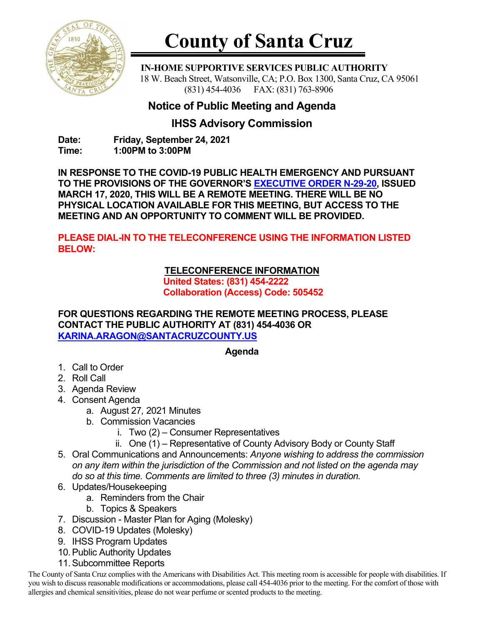

# **County of Santa Cruz**

 **IN-HOME SUPPORTIVE SERVICES PUBLIC AUTHORITY** 18 W. Beach Street, Watsonville, CA; P.O. Box 1300, Santa Cruz, CA 95061 (831) 454-4036 FAX: (831) 763-8906

## **Notice of Public Meeting and Agenda**

### **IHSS Advisory Commission**

**Date: Friday, September 24, 2021 Time: 1:00PM to 3:00PM**

**IN RESPONSE TO THE COVID-19 PUBLIC HEALTH EMERGENCY AND PURSUANT TO THE PROVISIONS OF THE GOVERNOR'S [EXECUTIVE ORDER N-29-20,](https://www.gov.ca.gov/wp-content/uploads/2020/03/3.17.20-N-29-20-EO.pdf) ISSUED MARCH 17, 2020, THIS WILL BE A REMOTE MEETING. THERE WILL BE NO PHYSICAL LOCATION AVAILABLE FOR THIS MEETING, BUT ACCESS TO THE MEETING AND AN OPPORTUNITY TO COMMENT WILL BE PROVIDED.**

**PLEASE DIAL-IN TO THE TELECONFERENCE USING THE INFORMATION LISTED BELOW:**

#### **TELECONFERENCE INFORMATION**

**United States: (831) 454-2222 Collaboration (Access) Code: 505452**

**FOR QUESTIONS REGARDING THE REMOTE MEETING PROCESS, PLEASE CONTACT THE PUBLIC AUTHORITY AT (831) 454-4036 OR [KARINA.ARAGON@SANTACRUZCOUNTY.US](mailto:KARINA.ARAGON@SANTACRUZCOUNTY.US)**

#### **Agenda**

- 1. Call to Order
- 2. Roll Call
- 3. Agenda Review
- 4. Consent Agenda
	- a. August 27*,* 2021 Minutes
	- b. Commission Vacancies
		- i. Two (2) Consumer Representatives
		- ii. One (1) Representative of County Advisory Body or County Staff
- 5. Oral Communications and Announcements: *Anyone wishing to address the commission on any item within the jurisdiction of the Commission and not listed on the agenda may do so at this time. Comments are limited to three (3) minutes in duration.*
- 6. Updates/Housekeeping
	- a. Reminders from the Chair
	- b. Topics & Speakers
- 7. Discussion Master Plan for Aging (Molesky)
- 8. COVID-19 Updates (Molesky)
- 9. IHSS Program Updates
- 10.Public Authority Updates
- 11.Subcommittee Reports

The County of Santa Cruz complies with the Americans with Disabilities Act. This meeting room is accessible for people with disabilities. If you wish to discuss reasonable modifications or accommodations, please call 454-4036 prior to the meeting. For the comfort of those with allergies and chemical sensitivities, please do not wear perfume or scented products to the meeting.